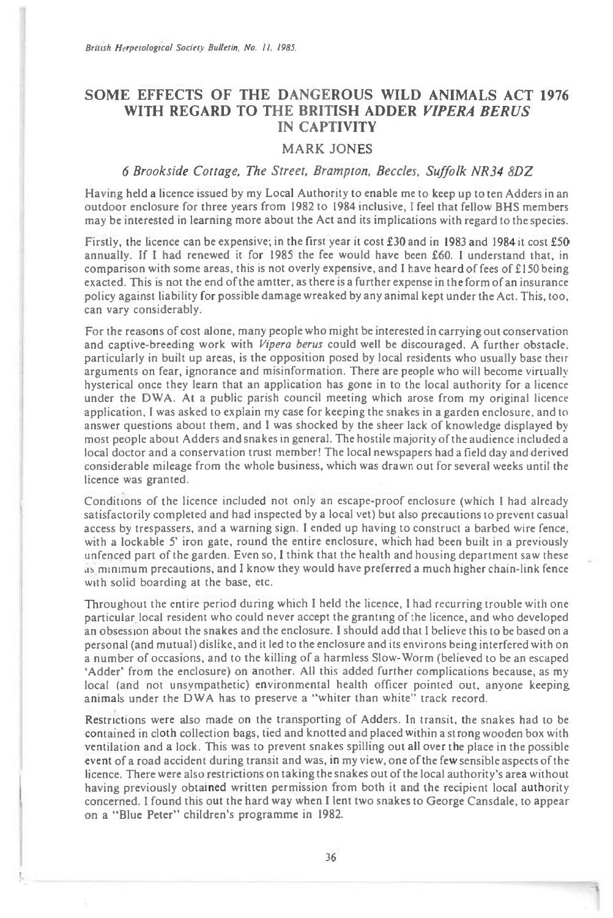## **SOME EFFECTS OF THE DANGEROUS WILD ANIMALS ACT 1976 WITH REGARD TO THE BRITISH ADDER VIPERA BERUS IN CAPTIVITY**

## MARK JONES

## 6 Brookside Cottage, The Street, Brampton, Beccles, Suffolk NR34 8DZ

Having held a licence issued by my Local Authority to enable me to keep up to ten Adders in an outdoor enclosure for three years from 1982 to 1984 inclusive, I feel that fellow BHS members may be interested in learning more about the Act and its implications with regard to the species.

Firstly, the licence can be expensive; in the first year it cost £30 and in 1983 and 1984 it cost £50 annually. If I had renewed it for 1985 the fee would have been £60. I understand that, in annually. If I had renewed it for 1985 the fee would have been £60. I understand that, in comparison with some areas, this is not overly expensive, and I have heard of fees of £150 being exacted. This is not the end of the amtter, as there is a further expense in the form of an insurance policy against liability for possible damage wreaked by any animal kept under the Act. This, too, can vary considerably.

For the reasons of cost alone, many people who might be interested in carrying out conservation and captive-breeding work with Vipera berus could well be discouraged. A further obstacle. particularly in built up areas, is the opposition posed by local residents who usually base their arguments on fear, ignorance and misinformation. There are people who will become virtually hysterical once they learn that an application has gone in to the local authority for a licence under the DWA. At a public parish council meeting which arose from my original licence application, I was asked to explain my case for keeping the snakes in a garden enclosure, and to answer questions about them, and I was shocked by the sheer lack of knowledge displayed by most people about Adders and snakes in general. The hostile majority of the audience included a local doctor and a conservation trust member! The local newspapers had a field day and derived considerable mileage from the whole business, which was drawn out for several weeks until the licence was granted.

Conditions of the licence included not only an escape-proof enclosure (which I had already satisfactorily completed and had inspected by a local vet) but also precautions to prevent casual access by trespassers, and a warning sign. I ended up having to construct a barbed wire fence, with a lockable 5' iron gate, round the entire enclosure, which had been built in a previously with a lockable 5' iron gate, round the entire enclosure, which had been built in a previously<br>unfenced part of the garden. Even so, I think that the health and housing department saw these<br>as minimum precautions, and I kn with solid boarding at the base, etc.

Throughout the entire period during which I held the licence, 1 had recurring trouble with one particular local resident who could never accept the granting of the licence, and who developed an obsession about the snakes and the enclosure. I should add that I believe this to be based on a personal (and mutual) dislike, and it led to the enclosure and its environs being interfered with on a number of occasions, and to the killing of a harmless Slow-Worm (believed to be an escaped 'Adder' from the enclosure) on another. All this added further complications because, as my local (and not unsympathetic) environmental health officer pointed out, anyone keeping animals under the DWA has to preserve a "whiter than white" track record.

Restrictions were also made on the transporting of Adders. In transit, the snakes had to be contained in cloth collection bags, tied and knotted and placed within a strong wooden box with ventilation and a lock. This was to prevent snakes spilling out all over the place in the possible event of a road accident during transit and was, in my view, one of the few sensible aspects of the licence. There were also restrictions on taking the snakes out of the local authority's area without having previously obtained written permission from both it and the recipient local authority concerned. I found this out the hard way when I lent two snakes to George Cansdale, to appear on a "Blue Peter" children's programme in 1982.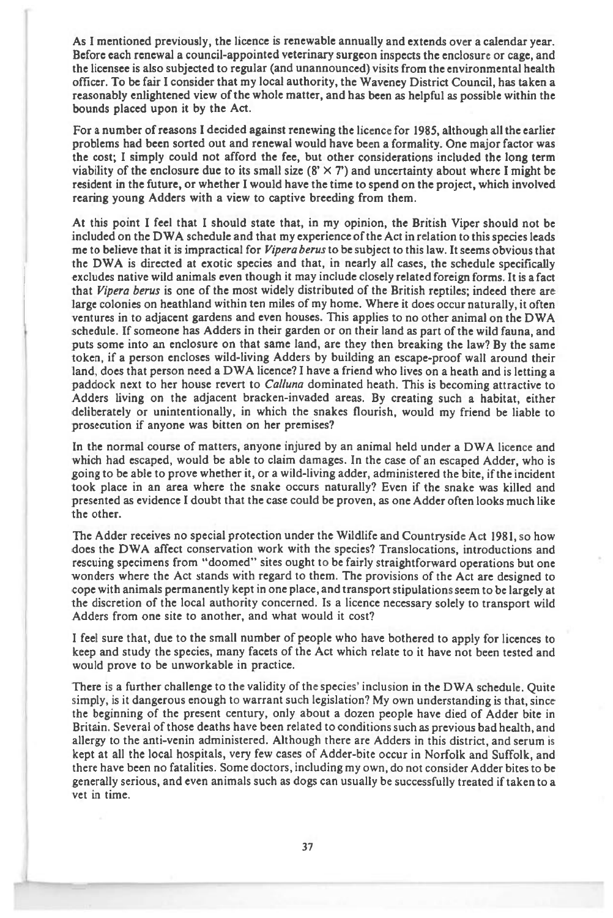**As I mentioned previously, the licence is renewable annually and extends over a calendar year. Before each renewal a council-appointed veterinary surgeon inspects the enclosure or cage, and the licensee is also subjected to regular (and unannounced) visits from the environmental health officer. To be fair I consider that my local authority, the Waveney District Council, has taken a reasonably enlightened view of the whole matter, and has been as helpful as possible within the bounds placed upon it by the Act.** 

**For a number of reasons I decided against renewing the licence for 1985, although all the earlier problems had been sorted out and renewal would have been a formality. One major factor was the cost; I simply could not afford the fee, but other considerations included the long term**  viability of the enclosure due to its small size  $(8' \times 7')$  and uncertainty about where I might be **resident in the future, or whether I would have the time to spend on the project, which involved rearing young Adders with a view to captive breeding from them.** 

**At this point I feel that I should state that, in my opinion, the British Viper should not be included on the DWA schedule and that my experience of the Act in relation to this species leads me to believe that it is impractical for** *Vipera berus* **to be subject to this law. It seems obvious that the DWA is directed at exotic species and that, in nearly all cases, the schedule specifically excludes native wild animals even though it may include closely related foreign forms. It is a fact that** *Vipera berus* **is one of the most widely distributed of the British reptiles; indeed there are large colonies on heathland within ten miles of my home. Where it does occur naturally, it often ventures in to adjacent gardens and even houses. This applies to no other animal on the DWA schedule. If someone has Adders in their garden or on their land as part of the wild fauna, and puts some into an enclosure on that same land, are they then breaking the law? By the same token, if a person encloses wild-living Adders by building an escape-proof wall around their land, does that person need a DWA licence? I have a friend who lives on a heath and is letting a paddock next to her house revert to** *Calluna* **dominated heath. This is becoming attractive to Adders living on the adjacent bracken-invaded areas. By creating such a habitat, either deliberately or unintentionally, in which the snakes flourish, would my friend be liable to prosecution if anyone was bitten on her premises?** 

**In the normal course of matters, anyone injured by an animal held under a DWA licence and which had escaped, would be able to claim damages. In the case of an escaped Adder, who is going to be able to prove whether it, or a wild-living adder, administered the bite, if the incident took place in an area where the snake occurs naturally? Even if the snake was killed and presented as evidence I doubt that the case could be proven, as one Adder often looks much like the other.** 

**The Adder receives no special protection under the Wildlife and Countryside Act 1981, so how does the DWA affect conservation work with the species? Translocations, introductions and rescuing specimens from "doomed" sites ought to be fairly straightforward operations but one wonders where the Act stands with regard to them. The provisions of the Act are designed to cope with animals permanently kept in one place, and transport stipulations seem to be largely at the discretion of the local authority concerned. Is a licence necessary solely to transport wild Adders from one site to another, and what would it cost?** 

**I feel sure that, due to the small number of people who have bothered to apply for licences to keep and study the species, many facets of the Act which relate to it have not been tested and would prove to be unworkable in practice.** 

**There is a further challenge to the validity of the species' inclusion in the DWA schedule. Quite simply, is it dangerous enough to warrant such legislation? My own understanding is that, since the beginning of the present century, only about a dozen people have died of Adder bite in Britain. Several of those deaths have been related to conditions such as previous bad health, and allergy to the anti-venin administered. Although there are Adders in this district, and serum is kept at all the local hospitals, very few cases of Adder-bite occur in Norfolk and Suffolk, and there have been no fatalities. Some doctors, including my own, do not consider Adder bites to be generally serious, and even animals such as dogs can usually be successfully treated if taken to a vet in time.**